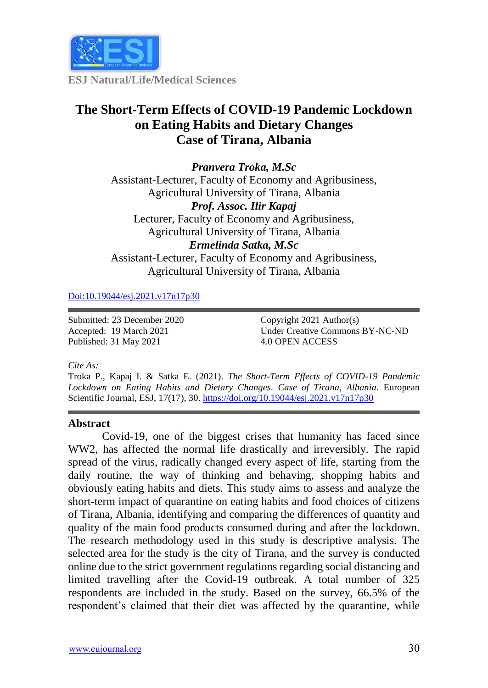

**ESJ Natural/Life/Medical Sciences**

# **The Short-Term Effects of COVID-19 Pandemic Lockdown on Eating Habits and Dietary Changes Case of Tirana, Albania**

*Pranvera Troka, M.Sc* Assistant-Lecturer, Faculty of Economy and Agribusiness, Agricultural University of Tirana, Albania *Prof. Assoc. Ilir Kapaj* Lecturer, Faculty of Economy and Agribusiness, Agricultural University of Tirana, Albania *Ermelinda Satka, M.Sc* Assistant-Lecturer, Faculty of Economy and Agribusiness, Agricultural University of Tirana, Albania

[Doi:10.19044/esj.2021.v17n17p30](https://doi.org/10.19044/esj.2021.v17n17p30)

Submitted: 23 December 2020 Accepted: 19 March 2021 Published: 31 May 2021

Copyright 2021 Author(s) Under Creative Commons BY-NC-ND 4.0 OPEN ACCESS

#### *Cite As:*

Troka P., Kapaj I. & Satka E. (2021). *The Short-Term Effects of COVID-19 Pandemic Lockdown on Eating Habits and Dietary Changes. Case of Tirana, Albania.* European Scientific Journal, ESJ, 17(17), 30. <https://doi.org/10.19044/esj.2021.v17n17p30>

#### **Abstract**

Covid-19, one of the biggest crises that humanity has faced since WW2, has affected the normal life drastically and irreversibly. The rapid spread of the virus, radically changed every aspect of life, starting from the daily routine, the way of thinking and behaving, shopping habits and obviously eating habits and diets. This study aims to assess and analyze the short-term impact of quarantine on eating habits and food choices of citizens of Tirana, Albania, identifying and comparing the differences of quantity and quality of the main food products consumed during and after the lockdown. The research methodology used in this study is descriptive analysis. The selected area for the study is the city of Tirana, and the survey is conducted online due to the strict government regulations regarding social distancing and limited travelling after the Covid-19 outbreak. A total number of 325 respondents are included in the study. Based on the survey, 66.5% of the respondent's claimed that their diet was affected by the quarantine, while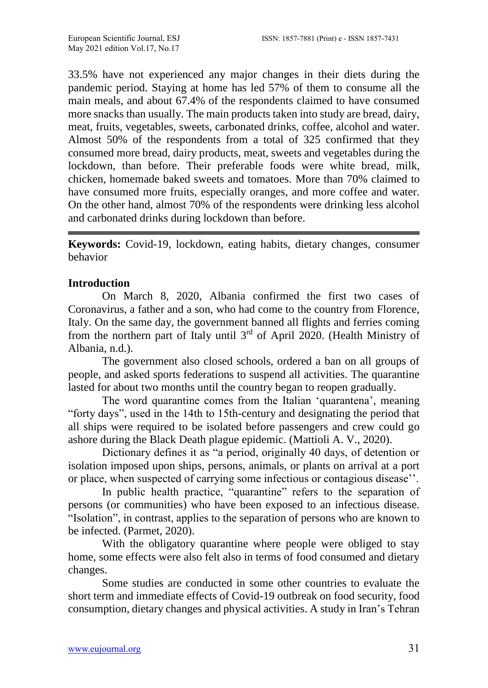33.5% have not experienced any major changes in their diets during the pandemic period. Staying at home has led 57% of them to consume all the main meals, and about 67.4% of the respondents claimed to have consumed more snacks than usually. The main products taken into study are bread, dairy, meat, fruits, vegetables, sweets, carbonated drinks, coffee, alcohol and water. Almost 50% of the respondents from a total of 325 confirmed that they consumed more bread, dairy products, meat, sweets and vegetables during the lockdown, than before. Their preferable foods were white bread, milk, chicken, homemade baked sweets and tomatoes. More than 70% claimed to have consumed more fruits, especially oranges, and more coffee and water. On the other hand, almost 70% of the respondents were drinking less alcohol and carbonated drinks during lockdown than before.

**Keywords:** Covid-19, lockdown, eating habits, dietary changes, consumer behavior

# **Introduction**

On March 8, 2020, Albania confirmed the first two cases of Coronavirus, a father and a son, who had come to the country from Florence, Italy. On the same day, the government banned all flights and ferries coming from the northern part of Italy until 3<sup>rd</sup> of April 2020. (Health Ministry of Albania, n.d.).

The government also closed schools, ordered a ban on all groups of people, and asked sports federations to suspend all activities. The quarantine lasted for about two months until the country began to reopen gradually.

The word quarantine comes from the Italian 'quarantena', meaning "forty days", used in the 14th to 15th-century and designating the period that all ships were required to be isolated before passengers and crew could go ashore during the Black Death plague epidemic. (Mattioli A. V., 2020).

Dictionary defines it as "a period, originally 40 days, of detention or isolation imposed upon ships, persons, animals, or plants on arrival at a port or place, when suspected of carrying some infectious or contagious disease''.

In public health practice, "quarantine" refers to the separation of persons (or communities) who have been exposed to an infectious disease. "Isolation", in contrast, applies to the separation of persons who are known to be infected. (Parmet, 2020).

With the obligatory quarantine where people were obliged to stay home, some effects were also felt also in terms of food consumed and dietary changes.

Some studies are conducted in some other countries to evaluate the short term and immediate effects of Covid-19 outbreak on food security, food consumption, dietary changes and physical activities. A study in Iran's Tehran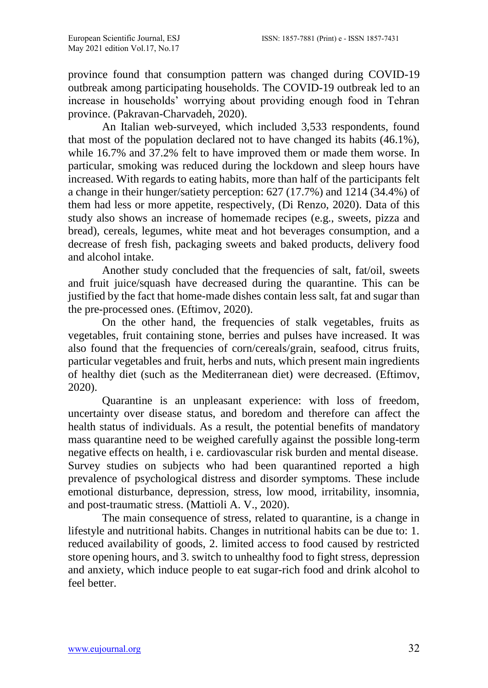province found that consumption pattern was changed during COVID-19 outbreak among participating households. The COVID-19 outbreak led to an increase in households' worrying about providing enough food in Tehran province. (Pakravan-Charvadeh, 2020).

An Italian web-surveyed, which included 3,533 respondents, found that most of the population declared not to have changed its habits (46.1%), while 16.7% and 37.2% felt to have improved them or made them worse. In particular, smoking was reduced during the lockdown and sleep hours have increased. With regards to eating habits, more than half of the participants felt a change in their hunger/satiety perception: 627 (17.7%) and 1214 (34.4%) of them had less or more appetite, respectively, (Di Renzo, 2020). Data of this study also shows an increase of homemade recipes (e.g., sweets, pizza and bread), cereals, legumes, white meat and hot beverages consumption, and a decrease of fresh fish, packaging sweets and baked products, delivery food and alcohol intake.

Another study concluded that the frequencies of salt, fat/oil, sweets and fruit juice/squash have decreased during the quarantine. This can be justified by the fact that home-made dishes contain less salt, fat and sugar than the pre-processed ones. (Eftimov, 2020).

On the other hand, the frequencies of stalk vegetables, fruits as vegetables, fruit containing stone, berries and pulses have increased. It was also found that the frequencies of corn/cereals/grain, seafood, citrus fruits, particular vegetables and fruit, herbs and nuts, which present main ingredients of healthy diet (such as the Mediterranean diet) were decreased. (Eftimov, 2020).

Quarantine is an unpleasant experience: with loss of freedom, uncertainty over disease status, and boredom and therefore can affect the health status of individuals. As a result, the potential benefits of mandatory mass quarantine need to be weighed carefully against the possible long-term negative effects on health, i e. cardiovascular risk burden and mental disease. Survey studies on subjects who had been quarantined reported a high prevalence of psychological distress and disorder symptoms. These include emotional disturbance, depression, stress, low mood, irritability, insomnia, and post-traumatic stress. (Mattioli A. V., 2020).

The main consequence of stress, related to quarantine, is a change in lifestyle and nutritional habits. Changes in nutritional habits can be due to: 1. reduced availability of goods, 2. limited access to food caused by restricted store opening hours, and 3. switch to unhealthy food to fight stress, depression and anxiety, which induce people to eat sugar-rich food and drink alcohol to feel better.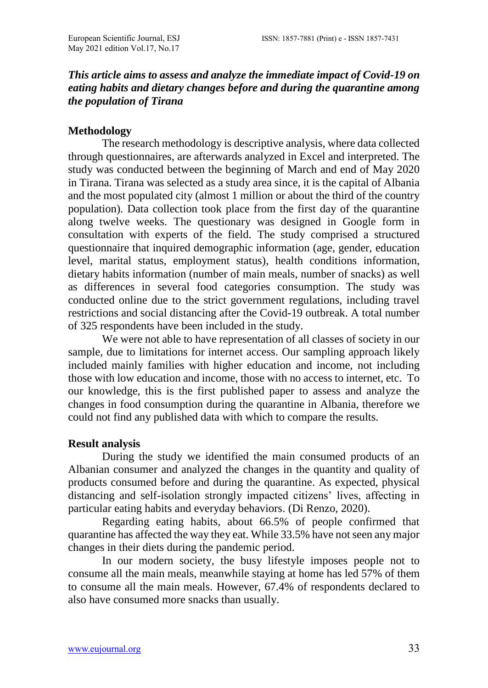# *This article aims to assess and analyze the immediate impact of Covid-19 on eating habits and dietary changes before and during the quarantine among the population of Tirana*

#### **Methodology**

The research methodology is descriptive analysis, where data collected through questionnaires, are afterwards analyzed in Excel and interpreted. The study was conducted between the beginning of March and end of May 2020 in Tirana. Tirana was selected as a study area since, it is the capital of Albania and the most populated city (almost 1 million or about the third of the country population). Data collection took place from the first day of the quarantine along twelve weeks. The questionary was designed in Google form in consultation with experts of the field. The study comprised a structured questionnaire that inquired demographic information (age, gender, education level, marital status, employment status), health conditions information, dietary habits information (number of main meals, number of snacks) as well as differences in several food categories consumption. The study was conducted online due to the strict government regulations, including travel restrictions and social distancing after the Covid-19 outbreak. A total number of 325 respondents have been included in the study.

We were not able to have representation of all classes of society in our sample, due to limitations for internet access. Our sampling approach likely included mainly families with higher education and income, not including those with low education and income, those with no access to internet, etc. To our knowledge, this is the first published paper to assess and analyze the changes in food consumption during the quarantine in Albania, therefore we could not find any published data with which to compare the results.

#### **Result analysis**

During the study we identified the main consumed products of an Albanian consumer and analyzed the changes in the quantity and quality of products consumed before and during the quarantine. As expected, physical distancing and self-isolation strongly impacted citizens' lives, affecting in particular eating habits and everyday behaviors. (Di Renzo, 2020).

Regarding eating habits, about 66.5% of people confirmed that quarantine has affected the way they eat. While 33.5% have not seen any major changes in their diets during the pandemic period.

In our modern society, the busy lifestyle imposes people not to consume all the main meals, meanwhile staying at home has led 57% of them to consume all the main meals. However, 67.4% of respondents declared to also have consumed more snacks than usually.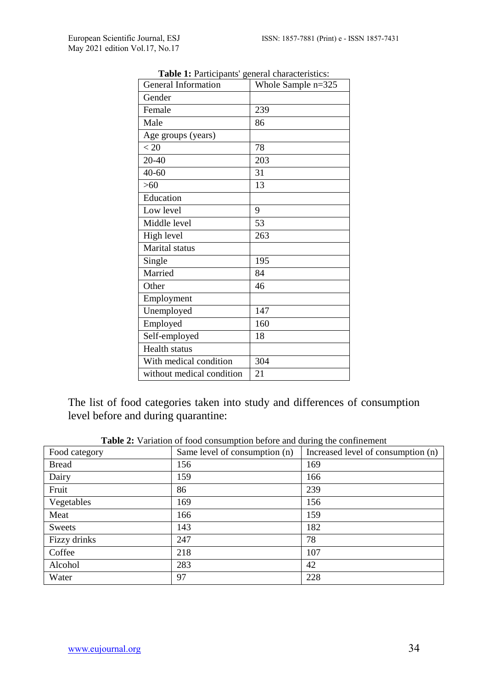| side 1. 1 articipants Scherar enaracteristics.<br>General Information | Whole Sample n=325 |
|-----------------------------------------------------------------------|--------------------|
| Gender                                                                |                    |
| Female                                                                | 239                |
| Male                                                                  | 86                 |
| Age groups (years)                                                    |                    |
| < 20                                                                  | 78                 |
| 20-40                                                                 | 203                |
| $40 - 60$                                                             | 31                 |
| >60                                                                   | 13                 |
| Education                                                             |                    |
| Low level                                                             | 9                  |
| Middle level                                                          | 53                 |
| High level                                                            | 263                |
| Marital status                                                        |                    |
| Single                                                                | 195                |
| Married                                                               | 84                 |
| Other                                                                 | 46                 |
| Employment                                                            |                    |
| Unemployed                                                            | 147                |
| Employed                                                              | 160                |
| Self-employed                                                         | 18                 |
| Health status                                                         |                    |
| With medical condition                                                | 304                |
| without medical condition                                             | 21                 |

**Table 1:** Participants' general characteristics:

The list of food categories taken into study and differences of consumption level before and during quarantine:

| Food category | Same level of consumption (n) | Increased level of consumption (n) |
|---------------|-------------------------------|------------------------------------|
| <b>Bread</b>  | 156                           | 169                                |
| Dairy         | 159                           | 166                                |
| Fruit         | 86                            | 239                                |
| Vegetables    | 169                           | 156                                |
| Meat          | 166                           | 159                                |
| Sweets        | 143                           | 182                                |
| Fizzy drinks  | 247                           | 78                                 |
| Coffee        | 218                           | 107                                |
| Alcohol       | 283                           | 42                                 |
| Water         | 97                            | 228                                |

**Table 2:** Variation of food consumption before and during the confinement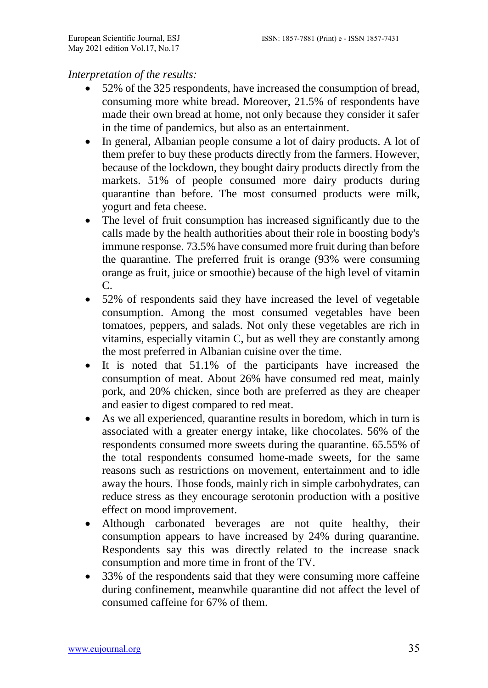## *Interpretation of the results:*

- 52% of the 325 respondents, have increased the consumption of bread, consuming more white bread. Moreover, 21.5% of respondents have made their own bread at home, not only because they consider it safer in the time of pandemics, but also as an entertainment.
- In general, Albanian people consume a lot of dairy products. A lot of them prefer to buy these products directly from the farmers. However, because of the lockdown, they bought dairy products directly from the markets. 51% of people consumed more dairy products during quarantine than before. The most consumed products were milk, yogurt and feta cheese.
- The level of fruit consumption has increased significantly due to the calls made by the health authorities about their role in boosting body's immune response. 73.5% have consumed more fruit during than before the quarantine. The preferred fruit is orange (93% were consuming orange as fruit, juice or smoothie) because of the high level of vitamin C.
- 52% of respondents said they have increased the level of vegetable consumption. Among the most consumed vegetables have been tomatoes, peppers, and salads. Not only these vegetables are rich in vitamins, especially vitamin C, but as well they are constantly among the most preferred in Albanian cuisine over the time.
- It is noted that 51.1% of the participants have increased the consumption of meat. About 26% have consumed red meat, mainly pork, and 20% chicken*,* since both are preferred as they are cheaper and easier to digest compared to red meat.
- As we all experienced, quarantine results in boredom, which in turn is associated with a greater energy intake, like chocolates. 56% of the respondents consumed more sweets during the quarantine. 65.55% of the total respondents consumed home-made sweets, for the same reasons such as restrictions on movement, entertainment and to idle away the hours. Those foods, mainly rich in simple carbohydrates, can reduce stress as they encourage serotonin production with a positive effect on mood improvement.
- Although carbonated beverages are not quite healthy, their consumption appears to have increased by 24% during quarantine. Respondents say this was directly related to the increase snack consumption and more time in front of the TV.
- 33% of the respondents said that they were consuming more caffeine during confinement, meanwhile quarantine did not affect the level of consumed caffeine for 67% of them.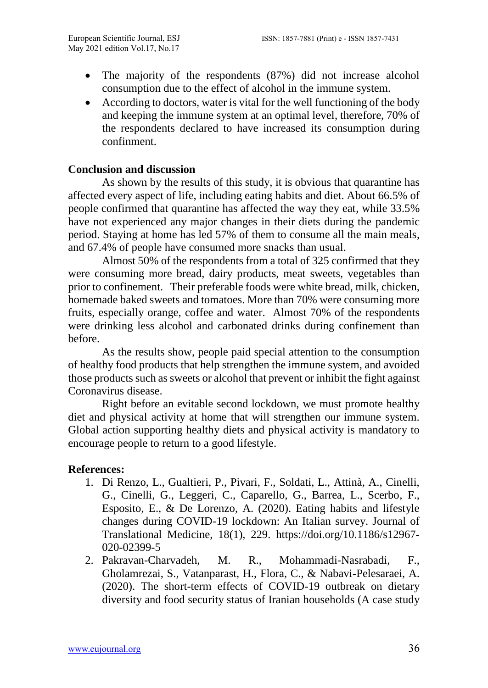- The majority of the respondents (87%) did not increase alcohol consumption due to the effect of alcohol in the immune system.
- According to doctors, water is vital for the well functioning of the body and keeping the immune system at an optimal level, therefore, 70% of the respondents declared to have increased its consumption during confinment.

### **Conclusion and discussion**

As shown by the results of this study, it is obvious that quarantine has affected every aspect of life, including eating habits and diet. About 66.5% of people confirmed that quarantine has affected the way they eat, while 33.5% have not experienced any major changes in their diets during the pandemic period. Staying at home has led 57% of them to consume all the main meals, and 67.4% of people have consumed more snacks than usual.

Almost 50% of the respondents from a total of 325 confirmed that they were consuming more bread, dairy products, meat sweets, vegetables than prior to confinement. Their preferable foods were white bread, milk, chicken, homemade baked sweets and tomatoes. More than 70% were consuming more fruits, especially orange, coffee and water. Almost 70% of the respondents were drinking less alcohol and carbonated drinks during confinement than before.

As the results show, people paid special attention to the consumption of healthy food products that help strengthen the immune system, and avoided those products such as sweets or alcohol that prevent or inhibit the fight against Coronavirus disease.

Right before an evitable second lockdown, we must promote healthy diet and physical activity at home that will strengthen our immune system. Global action supporting healthy diets and physical activity is mandatory to encourage people to return to a good lifestyle.

### **References:**

- 1. Di Renzo, L., Gualtieri, P., Pivari, F., Soldati, L., Attinà, A., Cinelli, G., Cinelli, G., Leggeri, C., Caparello, G., Barrea, L., Scerbo, F., Esposito, E., & De Lorenzo, A. (2020). Eating habits and lifestyle changes during COVID-19 lockdown: An Italian survey. Journal of Translational Medicine, 18(1), 229. [https://doi.org/10.1186/s12967-](https://doi.org/10.1186/s12967-020-02399-5) [020-02399-5](https://doi.org/10.1186/s12967-020-02399-5)
- 2. Pakravan-Charvadeh, M. R., Mohammadi-Nasrabadi, F., Gholamrezai, S., Vatanparast, H., Flora, C., & Nabavi-Pelesaraei, A. (2020). The short-term effects of COVID-19 outbreak on dietary diversity and food security status of Iranian households (A case study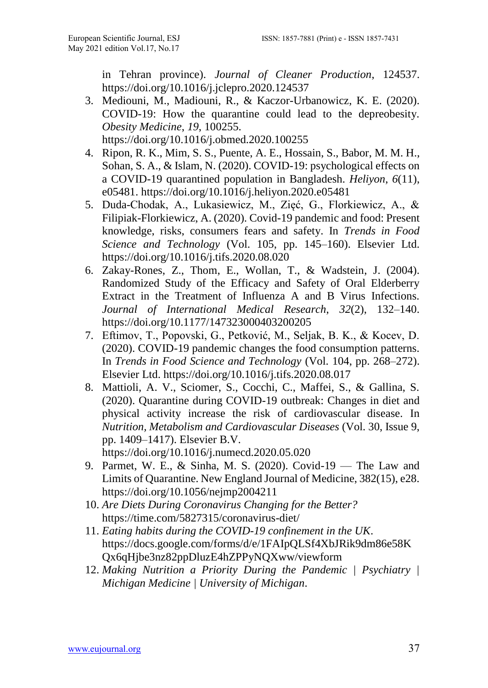in Tehran province). *Journal of Cleaner Production*, 124537. <https://doi.org/10.1016/j.jclepro.2020.124537>

- 3. Mediouni, M., Madiouni, R., & Kaczor-Urbanowicz, K. E. (2020). COVID-19: How the quarantine could lead to the depreobesity. *Obesity Medicine*, *19*, 100255. <https://doi.org/10.1016/j.obmed.2020.100255>
- 4. Ripon, R. K., Mim, S. S., Puente, A. E., Hossain, S., Babor, M. M. H., Sohan, S. A., & Islam, N. (2020). COVID-19: psychological effects on a COVID-19 quarantined population in Bangladesh. *Heliyon*, *6*(11), e05481.<https://doi.org/10.1016/j.heliyon.2020.e05481>
- 5. Duda-Chodak, A., Lukasiewicz, M., Zięć, G., Florkiewicz, A., & Filipiak-Florkiewicz, A. (2020). Covid-19 pandemic and food: Present knowledge, risks, consumers fears and safety. In *Trends in Food Science and Technology* (Vol. 105, pp. 145–160). Elsevier Ltd. <https://doi.org/10.1016/j.tifs.2020.08.020>
- 6. Zakay-Rones, Z., Thom, E., Wollan, T., & Wadstein, J. (2004). Randomized Study of the Efficacy and Safety of Oral Elderberry Extract in the Treatment of Influenza A and B Virus Infections. *Journal of International Medical Research*, *32*(2), 132–140. <https://doi.org/10.1177/147323000403200205>
- 7. Eftimov, T., Popovski, G., Petković, M., Seljak, B. K., & Kocev, D. (2020). COVID-19 pandemic changes the food consumption patterns. In *Trends in Food Science and Technology* (Vol. 104, pp. 268–272). Elsevier Ltd.<https://doi.org/10.1016/j.tifs.2020.08.017>
- 8. Mattioli, A. V., Sciomer, S., Cocchi, C., Maffei, S., & Gallina, S. (2020). Quarantine during COVID-19 outbreak: Changes in diet and physical activity increase the risk of cardiovascular disease. In *Nutrition, Metabolism and Cardiovascular Diseases* (Vol. 30, Issue 9, pp. 1409–1417). Elsevier B.V. <https://doi.org/10.1016/j.numecd.2020.05.020>
- 9. Parmet, W. E., & Sinha, M. S. (2020). Covid-19 The Law and Limits of Quarantine. New England Journal of Medicine, 382(15), e28. <https://doi.org/10.1056/nejmp2004211>
- 10. *Are Diets During Coronavirus Changing for the Better?* <https://time.com/5827315/coronavirus-diet/>
- 11. *Eating habits during the COVID-19 confinement in the UK*. [https://docs.google.com/forms/d/e/1FAIpQLSf4XbJRik9dm86e58K](https://docs.google.com/forms/d/e/1FAIpQLSf4XbJRik9dm86e58KQx6qHjbe3nz82ppDluzE4hZPPyNQXww/viewform) [Qx6qHjbe3nz82ppDluzE4hZPPyNQXww/viewform](https://docs.google.com/forms/d/e/1FAIpQLSf4XbJRik9dm86e58KQx6qHjbe3nz82ppDluzE4hZPPyNQXww/viewform)
- 12. *Making Nutrition a Priority During the Pandemic | Psychiatry | Michigan Medicine | University of Michigan*.